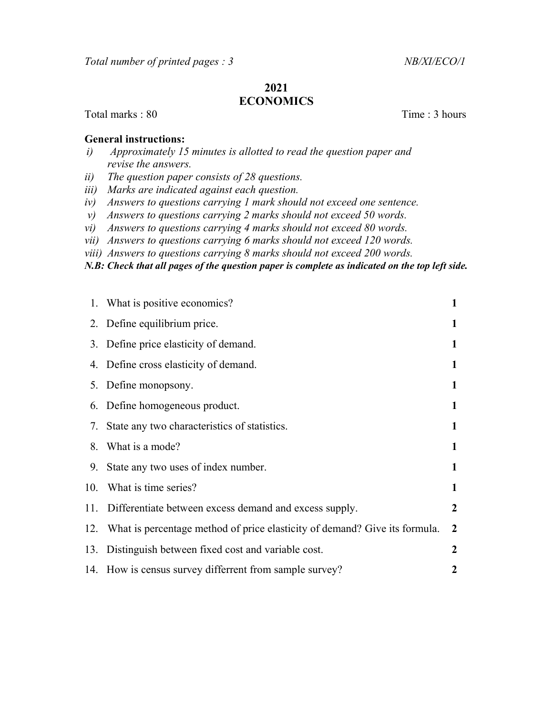## 2021 ECONOMICS

Total marks : 80 Time : 3 hours

## General instructions:

- i) Approximately 15 minutes is allotted to read the question paper and revise the answers.
- ii) The question paper consists of 28 questions.
- iii) Marks are indicated against each question.
- iv) Answers to questions carrying 1 mark should not exceed one sentence.
- v) Answers to questions carrying 2 marks should not exceed 50 words.
- vi) Answers to questions carrying 4 marks should not exceed 80 words.
- vii) Answers to questions carrying 6 marks should not exceed 120 words.
- viii) Answers to questions carrying 8 marks should not exceed 200 words.

N.B: Check that all pages of the question paper is complete as indicated on the top left side.

|     | 1. What is positive economics?                                                 | 1              |
|-----|--------------------------------------------------------------------------------|----------------|
|     | 2. Define equilibrium price.                                                   | 1              |
|     | 3. Define price elasticity of demand.                                          | 1              |
|     | 4. Define cross elasticity of demand.                                          | 1              |
|     | 5. Define monopsony.                                                           | 1              |
|     | 6. Define homogeneous product.                                                 | 1              |
|     | 7. State any two characteristics of statistics.                                | 1              |
| 8.  | What is a mode?                                                                | 1              |
|     | 9. State any two uses of index number.                                         | 1              |
|     | 10. What is time series?                                                       | 1              |
| 11. | Differentiate between excess demand and excess supply.                         | 2              |
|     | 12. What is percentage method of price elasticity of demand? Give its formula. | $\overline{2}$ |
|     | 13. Distinguish between fixed cost and variable cost.                          | 2              |
|     | 14. How is census survey differrent from sample survey?                        | $\mathbf 2$    |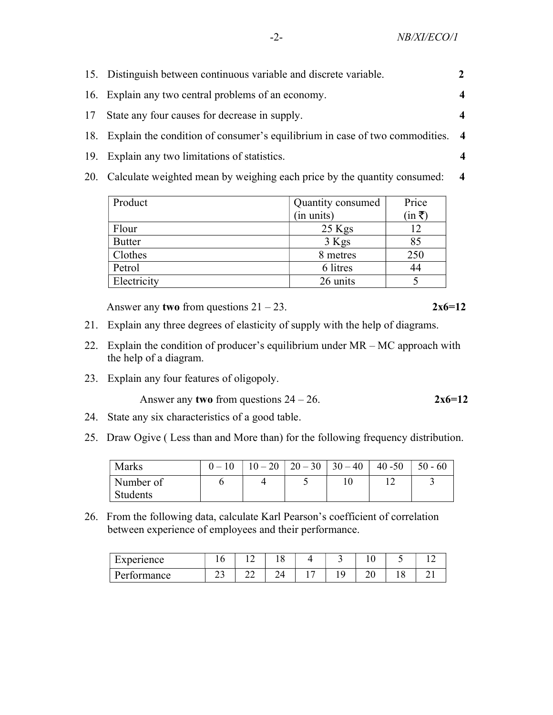|     | 15. Distinguish between continuous variable and discrete variable.                |                         |
|-----|-----------------------------------------------------------------------------------|-------------------------|
|     | 16. Explain any two central problems of an economy.                               |                         |
| 17  | State any four causes for decrease in supply.                                     |                         |
|     | 18. Explain the condition of consumer's equilibrium in case of two commodities. 4 |                         |
| 19. | Explain any two limitations of statistics.                                        |                         |
|     | 20. Calculate weighted mean by weighing each price by the quantity consumed:      | $\overline{\mathbf{4}}$ |
|     |                                                                                   |                         |

| Product       | Quantity consumed | Price          |
|---------------|-------------------|----------------|
|               | (in units)        | $(in \bar{z})$ |
| Flour         | $25$ Kgs          | 12             |
| <b>Butter</b> | $3$ Kgs           | 85             |
| Clothes       | 8 metres          | 250            |
| Petrol        | 6 litres          | 44             |
| Electricity   | 26 units          |                |

Answer any two from questions  $21 - 23$ .  $2x6=12$ 

- 21. Explain any three degrees of elasticity of supply with the help of diagrams.
- 22. Explain the condition of producer's equilibrium under  $MR MC$  approach with the help of a diagram.
- 23. Explain any four features of oligopoly.

Answer any two from questions  $24 - 26$ .  $2x6=12$ 

- 24. State any six characteristics of a good table.
- 25. Draw Ogive ( Less than and More than) for the following frequency distribution.

| <b>Marks</b> | $10 - 20$ | $20 - 30$   $30 - 40$ | $40 - 50$ | $50 - 60$ |
|--------------|-----------|-----------------------|-----------|-----------|
| Number of    |           |                       |           |           |
| Students     |           |                       |           |           |

26. From the following data, calculate Karl Pearson's coefficient of correlation between experience of employees and their performance.

| Experience  |    | -<br>-       | $\Omega$<br>ΙU |  | ⊥ ∪          |    |  |
|-------------|----|--------------|----------------|--|--------------|----|--|
| Performance | ر_ | $\sim$<br>∠∠ | ∠⊣             |  | $\sim$<br>∠∪ | ⊥∪ |  |